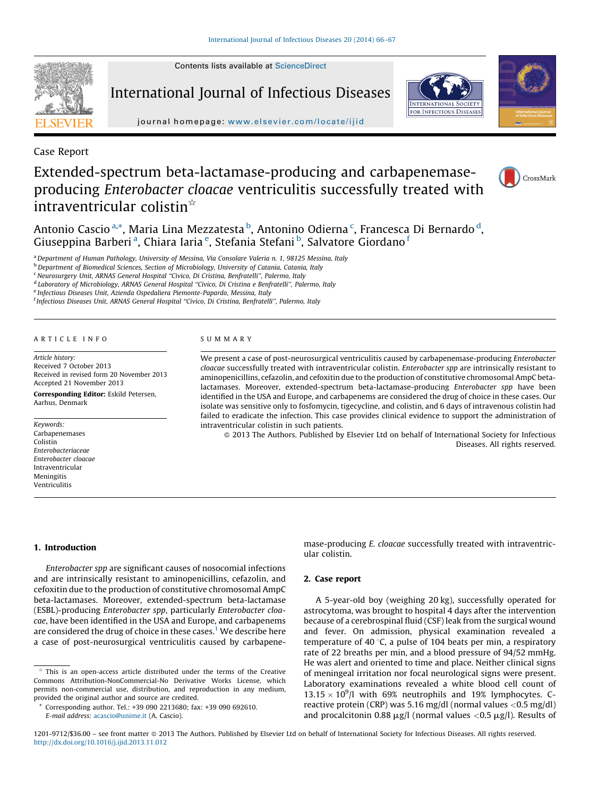Contents lists available at [ScienceDirect](http://www.sciencedirect.com/science/journal/12019712)



International Journal of Infectious Diseases





journal homepage: [www.elsevier.com/locate/ijid](http://dx.doi.org/www.elsevier.com/locate/ijid)

Case Report

# Extended-spectrum beta-lactamase-producing and carbapenemaseproducing Enterobacter cloacae ventriculitis successfully treated with intraventricular colistin<sup> $\hat{ }$ </sup>



Antonio Cascio <sup>a,</sup>\*, Maria Lina Mezzatesta <sup>b</sup>, Antonino Odierna <sup>c</sup>, Francesca Di Bernardo <sup>d</sup>, Giuseppina Barberi<sup>a</sup>, Chiara Iaria<sup>e</sup>, Stefania Stefani<sup>b</sup>, Salvatore Giordano<sup>f</sup>

a Department of Human Pathology, University of Messina, Via Consolare Valeria n. 1, 98125 Messina, Italy

<sup>b</sup> Department of Biomedical Sciences, Section of Microbiology, University of Catania, Catania, Italy

<sup>c</sup> Neurosurgery Unit, ARNAS General Hospital "Civico, Di Cristina, Benfratelli", Palermo, Italy

<sup>d</sup> Laboratory of Microbiology, ARNAS General Hospital ''Civico, Di Cristina e Benfratelli'', Palermo, Italy

<sup>e</sup> Infectious Diseases Unit, Azienda Ospedaliera Piemonte-Papardo, Messina, Italy

<sup>f</sup> Infectious Diseases Unit, ARNAS General Hospital "Civico, Di Cristina, Benfratelli", Palermo, Italy

#### A R T I C L E I N F O

Article history: Received 7 October 2013 Received in revised form 20 November 2013 Accepted 21 November 2013

Corresponding Editor: Eskild Petersen, Aarhus, Denmark

Keywords: Carbapenemases Colistin Enterobacteriaceae Enterobacter cloacae Intraventricular Meningitis Ventriculitis

#### S U M M A R Y

We present a case of post-neurosurgical ventriculitis caused by carbapenemase-producing *Enterobacter* cloacae successfully treated with intraventricular colistin. Enterobacter spp are intrinsically resistant to aminopenicillins, cefazolin, and cefoxitin due to the production of constitutive chromosomal AmpC betalactamases. Moreover, extended-spectrum beta-lactamase-producing Enterobacter spp have been identified in the USA and Europe, and carbapenems are considered the drug of choice in these cases. Our isolate was sensitive only to fosfomycin, tigecycline, and colistin, and 6 days of intravenous colistin had failed to eradicate the infection. This case provides clinical evidence to support the administration of intraventricular colistin in such patients.

© 2013 The Authors. Published by Elsevier Ltd on behalf of International Society for Infectious Diseases. All rights reserved.

## 1. Introduction

Enterobacter spp are significant causes of nosocomial infections and are intrinsically resistant to aminopenicillins, cefazolin, and cefoxitin due to the production of constitutive chromosomal AmpC beta-lactamases. Moreover, extended-spectrum beta-lactamase (ESBL)-producing Enterobacter spp, particularly Enterobacter cloacae, have been identified in the USA and Europe, and carbapenems are considered the drug of choice in these cases.<sup>[1](#page-1-0)</sup> We describe here a case of post-neurosurgical ventriculitis caused by carbapenemase-producing E. cloacae successfully treated with intraventricular colistin.

### 2. Case report

A 5-year-old boy (weighing 20 kg), successfully operated for astrocytoma, was brought to hospital 4 days after the intervention because of a cerebrospinal fluid (CSF) leak from the surgical wound and fever. On admission, physical examination revealed a temperature of 40 $\degree$ C, a pulse of 104 beats per min, a respiratory rate of 22 breaths per min, and a blood pressure of 94/52 mmHg. He was alert and oriented to time and place. Neither clinical signs of meningeal irritation nor focal neurological signs were present. Laboratory examinations revealed a white blood cell count of  $13.15 \times 10^9$ /l with 69% neutrophils and 19% lymphocytes. Creactive protein (CRP) was 5.16 mg/dl (normal values <0.5 mg/dl) and procalcitonin 0.88  $\mu$ g/l (normal values <0.5  $\mu$ g/l). Results of

 $\phi$ <sup>\*</sup> This is an open-access article distributed under the terms of the Creative Commons Attribution-NonCommercial-No Derivative Works License, which permits non-commercial use, distribution, and reproduction in any medium, provided the original author and source are credited.

Corresponding author. Tel.: +39 090 2213680; fax: +39 090 692610. E-mail address: [acascio@unime.it](mailto:acascio@unime.it) (A. Cascio).

<sup>1201-9712/\$36.00 -</sup> see front matter © 2013 The Authors. Published by Elsevier Ltd on behalf of International Society for Infectious Diseases. All rights reserved. <http://dx.doi.org/10.1016/j.ijid.2013.11.012>